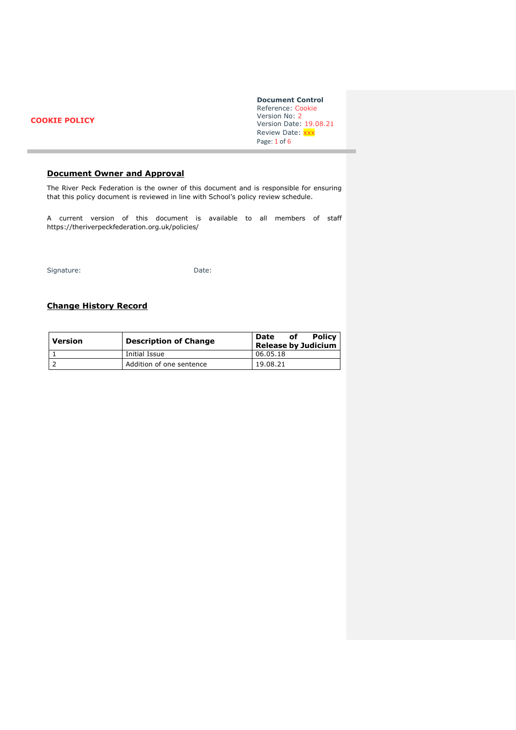## **COOKIE POLICY**

**Document Control** Reference: Cookie Version No: 2 Version Date: 19.08.21 Review Date: xxx Page: 1 of 6

# **Document Owner and Approval**

The River Peck Federation is the owner of this document and is responsible for ensuring that this policy document is reviewed in line with School's policy review schedule.

A current version of this document is available to all members of staff https://theriverpeckfederation.org.uk/policies/

Signature: Date:

# **Change History Record**

| Version | <b>Description of Change</b> | <b>Policy</b><br>Date<br>оf<br><b>Release by Judicium</b> |
|---------|------------------------------|-----------------------------------------------------------|
|         | Initial Issue                | 06.05.18                                                  |
|         | Addition of one sentence     | 19.08.21                                                  |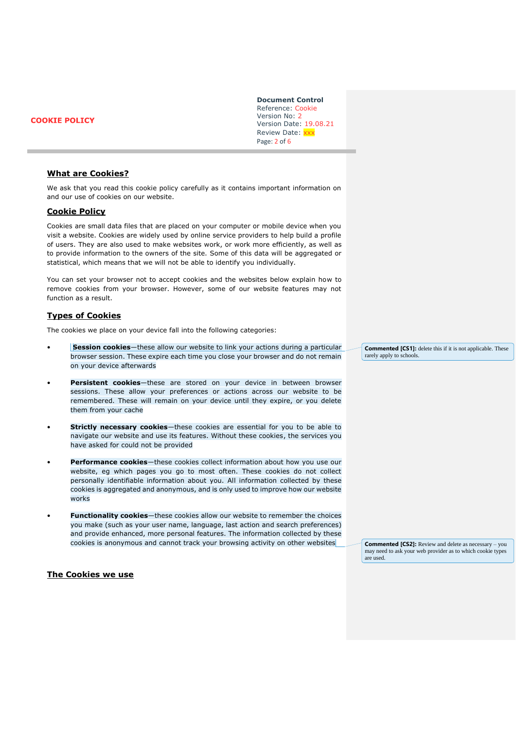**COOKIE POLICY** 

**Document Control** Reference: Cookie Version No: 2 Version Date: 19.08.21 Review Date: xxx Page: 2 of 6

#### **What are Cookies?**

We ask that you read this cookie policy carefully as it contains important information on and our use of cookies on our website.

### **Cookie Policy**

Cookies are small data files that are placed on your computer or mobile device when you visit a website. Cookies are widely used by online service providers to help build a profile of users. They are also used to make websites work, or work more efficiently, as well as to provide information to the owners of the site. Some of this data will be aggregated or statistical, which means that we will not be able to identify you individually.

You can set your browser not to accept cookies and the websites below explain how to remove cookies from your browser. However, some of our website features may not function as a result.

#### **Types of Cookies**

The cookies we place on your device fall into the following categories:

- **Session cookies**—these allow our website to link your actions during a particular browser session. These expire each time you close your browser and do not remain on your device afterwards
- **Persistent cookies**—these are stored on your device in between browser sessions. These allow your preferences or actions across our website to be remembered. These will remain on your device until they expire, or you delete them from your cache
- **Strictly necessary cookies**—these cookies are essential for you to be able to navigate our website and use its features. Without these cookies, the services you have asked for could not be provided
- **Performance cookies**—these cookies collect information about how you use our website, eg which pages you go to most often. These cookies do not collect personally identifiable information about you. All information collected by these cookies is aggregated and anonymous, and is only used to improve how our website works
- **Functionality cookies**—these cookies allow our website to remember the choices you make (such as your user name, language, last action and search preferences) and provide enhanced, more personal features. The information collected by these cookies is anonymous and cannot track your browsing activity on other websites

#### **The Cookies we use**

**Commented [CS1]:** delete this if it is not applicable. These rarely apply to schools.

**Commented [CS2]:** Review and delete as necessary – you may need to ask your web provider as to which cookie types are used.